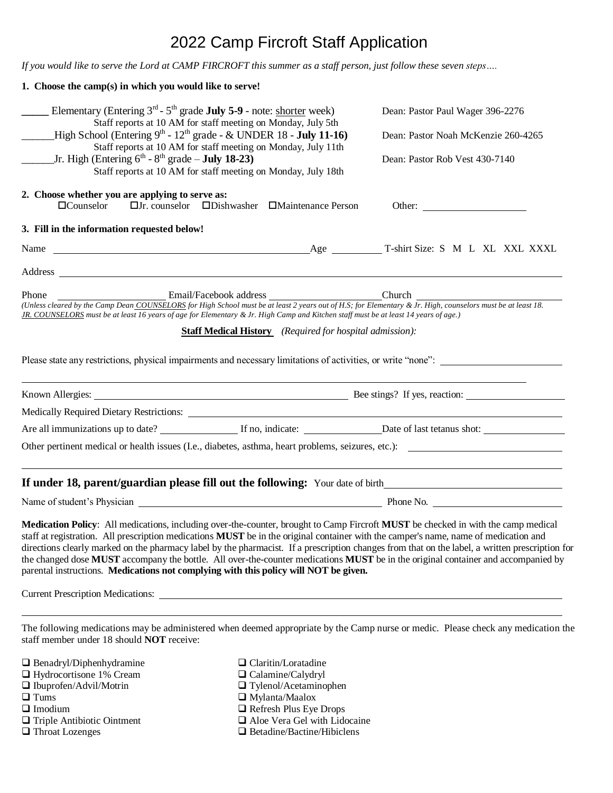# 2022 Camp Fircroft Staff Application

*If you would like to serve the Lord at CAMP FIRCROFT this summer as a staff person, just follow these seven steps….*

| 1. Choose the camp(s) in which you would like to serve!                                                                                               |                                                                                                                                     |                                                                                                                                                                                                                                                                                                                                                                                                                                                                                                                                                                          |  |  |  |
|-------------------------------------------------------------------------------------------------------------------------------------------------------|-------------------------------------------------------------------------------------------------------------------------------------|--------------------------------------------------------------------------------------------------------------------------------------------------------------------------------------------------------------------------------------------------------------------------------------------------------------------------------------------------------------------------------------------------------------------------------------------------------------------------------------------------------------------------------------------------------------------------|--|--|--|
| Elementary (Entering 3 <sup>rd</sup> - 5 <sup>th</sup> grade <b>July 5-9</b> - note: shorter week)                                                    | Dean: Pastor Paul Wager 396-2276<br>Dean: Pastor Noah McKenzie 260-4265<br>Dean: Pastor Rob Vest 430-7140                           |                                                                                                                                                                                                                                                                                                                                                                                                                                                                                                                                                                          |  |  |  |
| Staff reports at 10 AM for staff meeting on Monday, July 5th                                                                                          |                                                                                                                                     |                                                                                                                                                                                                                                                                                                                                                                                                                                                                                                                                                                          |  |  |  |
| _High School (Entering $9^{th}$ - $12^{th}$ grade - & UNDER 18 - <b>July 11-16</b> )<br>Staff reports at 10 AM for staff meeting on Monday, July 11th |                                                                                                                                     |                                                                                                                                                                                                                                                                                                                                                                                                                                                                                                                                                                          |  |  |  |
| Jr. High (Entering $6^{th}$ - $8^{th}$ grade – <b>July 18-23</b> )<br>Staff reports at 10 AM for staff meeting on Monday, July 18th                   |                                                                                                                                     |                                                                                                                                                                                                                                                                                                                                                                                                                                                                                                                                                                          |  |  |  |
|                                                                                                                                                       |                                                                                                                                     |                                                                                                                                                                                                                                                                                                                                                                                                                                                                                                                                                                          |  |  |  |
| 2. Choose whether you are applying to serve as:<br>$\Box$ Counselor                                                                                   | $\Box$ Jr. counselor $\Box$ Dishwasher $\Box$ Maintenance Person                                                                    | Other:                                                                                                                                                                                                                                                                                                                                                                                                                                                                                                                                                                   |  |  |  |
| 3. Fill in the information requested below!                                                                                                           |                                                                                                                                     |                                                                                                                                                                                                                                                                                                                                                                                                                                                                                                                                                                          |  |  |  |
|                                                                                                                                                       |                                                                                                                                     |                                                                                                                                                                                                                                                                                                                                                                                                                                                                                                                                                                          |  |  |  |
|                                                                                                                                                       |                                                                                                                                     |                                                                                                                                                                                                                                                                                                                                                                                                                                                                                                                                                                          |  |  |  |
| Phone                                                                                                                                                 | Email/Facebook address Church Church Church                                                                                         |                                                                                                                                                                                                                                                                                                                                                                                                                                                                                                                                                                          |  |  |  |
|                                                                                                                                                       | JR. COUNSELORS must be at least 16 years of age for Elementary & Jr. High Camp and Kitchen staff must be at least 14 years of age.) | (Unless cleared by the Camp Dean COUNSELORS for High School must be at least 2 years out of H.S; for Elementary & Jr. High, counselors must be at least 18.                                                                                                                                                                                                                                                                                                                                                                                                              |  |  |  |
|                                                                                                                                                       | <b>Staff Medical History</b> (Required for hospital admission):                                                                     |                                                                                                                                                                                                                                                                                                                                                                                                                                                                                                                                                                          |  |  |  |
|                                                                                                                                                       |                                                                                                                                     |                                                                                                                                                                                                                                                                                                                                                                                                                                                                                                                                                                          |  |  |  |
|                                                                                                                                                       |                                                                                                                                     | Please state any restrictions, physical impairments and necessary limitations of activities, or write "none":                                                                                                                                                                                                                                                                                                                                                                                                                                                            |  |  |  |
|                                                                                                                                                       |                                                                                                                                     |                                                                                                                                                                                                                                                                                                                                                                                                                                                                                                                                                                          |  |  |  |
|                                                                                                                                                       |                                                                                                                                     |                                                                                                                                                                                                                                                                                                                                                                                                                                                                                                                                                                          |  |  |  |
|                                                                                                                                                       |                                                                                                                                     |                                                                                                                                                                                                                                                                                                                                                                                                                                                                                                                                                                          |  |  |  |
|                                                                                                                                                       |                                                                                                                                     | Other pertinent medical or health issues (I.e., diabetes, asthma, heart problems, seizures, etc.):                                                                                                                                                                                                                                                                                                                                                                                                                                                                       |  |  |  |
|                                                                                                                                                       |                                                                                                                                     | ,我们也不会有一个人的人,我们也不会有一个人的人,我们也不会有一个人的人,我们也不会有一个人的人。""我们的人,我们也不会有一个人的人,我们也不会有一个人的人,<br>If under 18, parent/guardian please fill out the following: Your date of birth________________________________                                                                                                                                                                                                                                                                                                                                                                       |  |  |  |
|                                                                                                                                                       |                                                                                                                                     |                                                                                                                                                                                                                                                                                                                                                                                                                                                                                                                                                                          |  |  |  |
|                                                                                                                                                       | parental instructions. Medications not complying with this policy will NOT be given.                                                | Medication Policy: All medications, including over-the-counter, brought to Camp Fircroft MUST be checked in with the camp medical<br>staff at registration. All prescription medications <b>MUST</b> be in the original container with the camper's name, name of medication and<br>directions clearly marked on the pharmacy label by the pharmacist. If a prescription changes from that on the label, a written prescription for<br>the changed dose MUST accompany the bottle. All over-the-counter medications MUST be in the original container and accompanied by |  |  |  |
|                                                                                                                                                       |                                                                                                                                     |                                                                                                                                                                                                                                                                                                                                                                                                                                                                                                                                                                          |  |  |  |
| staff member under 18 should <b>NOT</b> receive:                                                                                                      |                                                                                                                                     | The following medications may be administered when deemed appropriate by the Camp nurse or medic. Please check any medication the                                                                                                                                                                                                                                                                                                                                                                                                                                        |  |  |  |
| $\Box$ Benadryl/Diphenhydramine                                                                                                                       | $\Box$ Claritin/Loratadine<br>$\Box$ Calamine/Calydryl                                                                              |                                                                                                                                                                                                                                                                                                                                                                                                                                                                                                                                                                          |  |  |  |
| □ Hydrocortisone 1% Cream<br>□ Ibuprofen/Advil/Motrin                                                                                                 |                                                                                                                                     |                                                                                                                                                                                                                                                                                                                                                                                                                                                                                                                                                                          |  |  |  |
|                                                                                                                                                       | □ Tylenol/Acetaminophen                                                                                                             |                                                                                                                                                                                                                                                                                                                                                                                                                                                                                                                                                                          |  |  |  |

- 
- 
- 
- 
- 
- $\Box$  Tums  $\Box$  Mylanta/Maalox  $\Box$  Imodium  $\Box$  Refresh Plus Eye  $\Box$  Refresh Plus Eye Drops
- $\Box$  Triple Antibiotic Ointment  $\Box$  Aloe Vera Gel with Lidocaine
- $\Box$  Throat Lozenges  $\Box$  Betadine/Bactine/Hibiclens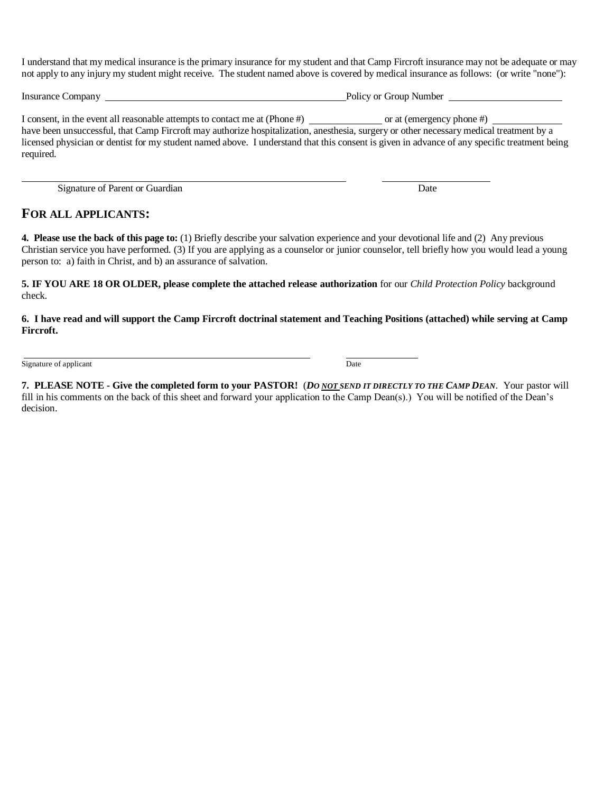I understand that my medical insurance is the primary insurance for my student and that Camp Fircroft insurance may not be adequate or may not apply to any injury my student might receive. The student named above is covered by medical insurance as follows: (or write "none"):

Insurance Company Policy or Group Number

I consent, in the event all reasonable attempts to contact me at (Phone #) or at (emergency phone #) have been unsuccessful, that Camp Fircroft may authorize hospitalization, anesthesia, surgery or other necessary medical treatment by a licensed physician or dentist for my student named above. I understand that this consent is given in advance of any specific treatment being required.

Signature of Parent or Guardian Date

## **FOR ALL APPLICANTS:**

**4. Please use the back of this page to:** (1) Briefly describe your salvation experience and your devotional life and (2) Any previous Christian service you have performed. (3) If you are applying as a counselor or junior counselor, tell briefly how you would lead a young person to: a) faith in Christ, and b) an assurance of salvation.

**5. IF YOU ARE 18 OR OLDER, please complete the attached release authorization** for our *Child Protection Policy* background check*.*

**6. I have read and will support the Camp Fircroft doctrinal statement and Teaching Positions (attached) while serving at Camp Fircroft.**

Signature of applicant Date

**7. PLEASE NOTE - Give the completed form to your PASTOR!** (*DO NOT SEND IT DIRECTLY TO THE CAMP DEAN*. Your pastor will fill in his comments on the back of this sheet and forward your application to the Camp Dean(s).) You will be notified of the Dean's decision.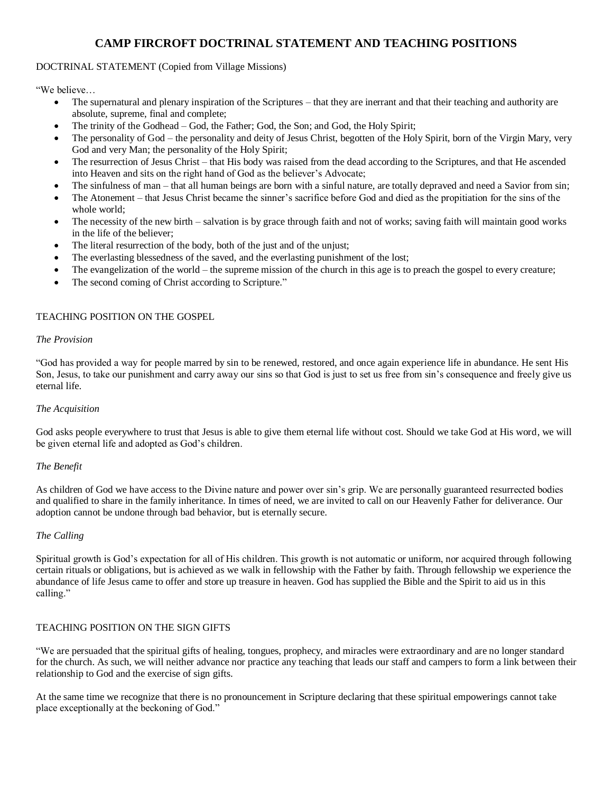# **CAMP FIRCROFT DOCTRINAL STATEMENT AND TEACHING POSITIONS**

#### DOCTRINAL STATEMENT (Copied from Village Missions)

"We believe…

- The supernatural and plenary inspiration of the Scriptures that they are inerrant and that their teaching and authority are absolute, supreme, final and complete;
- The trinity of the Godhead God, the Father; God, the Son; and God, the Holy Spirit;
- The personality of God the personality and deity of Jesus Christ, begotten of the Holy Spirit, born of the Virgin Mary, very God and very Man; the personality of the Holy Spirit;
- The resurrection of Jesus Christ that His body was raised from the dead according to the Scriptures, and that He ascended into Heaven and sits on the right hand of God as the believer's Advocate;
- The sinfulness of man that all human beings are born with a sinful nature, are totally depraved and need a Savior from sin;
- The Atonement that Jesus Christ became the sinner's sacrifice before God and died as the propitiation for the sins of the whole world;
- The necessity of the new birth salvation is by grace through faith and not of works; saving faith will maintain good works in the life of the believer;
- The literal resurrection of the body, both of the just and of the unjust;
- The everlasting blessedness of the saved, and the everlasting punishment of the lost;
- The evangelization of the world the supreme mission of the church in this age is to preach the gospel to every creature;
- The second coming of Christ according to Scripture."

#### TEACHING POSITION ON THE GOSPEL

#### *The Provision*

"God has provided a way for people marred by sin to be renewed, restored, and once again experience life in abundance. He sent His Son, Jesus, to take our punishment and carry away our sins so that God is just to set us free from sin's consequence and freely give us eternal life.

#### *The Acquisition*

God asks people everywhere to trust that Jesus is able to give them eternal life without cost. Should we take God at His word, we will be given eternal life and adopted as God's children.

#### *The Benefit*

As children of God we have access to the Divine nature and power over sin's grip. We are personally guaranteed resurrected bodies and qualified to share in the family inheritance. In times of need, we are invited to call on our Heavenly Father for deliverance. Our adoption cannot be undone through bad behavior, but is eternally secure.

#### *The Calling*

Spiritual growth is God's expectation for all of His children. This growth is not automatic or uniform, nor acquired through following certain rituals or obligations, but is achieved as we walk in fellowship with the Father by faith. Through fellowship we experience the abundance of life Jesus came to offer and store up treasure in heaven. God has supplied the Bible and the Spirit to aid us in this calling."

#### TEACHING POSITION ON THE SIGN GIFTS

"We are persuaded that the spiritual gifts of healing, tongues, prophecy, and miracles were extraordinary and are no longer standard for the church. As such, we will neither advance nor practice any teaching that leads our staff and campers to form a link between their relationship to God and the exercise of sign gifts.

At the same time we recognize that there is no pronouncement in Scripture declaring that these spiritual empowerings cannot take place exceptionally at the beckoning of God."